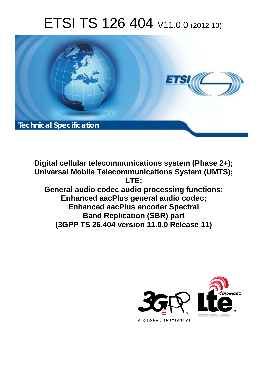# ETSI TS 126 404 V11.0.0 (2012-10)



**Digital cellular telecommunications system (Phase 2+); Universal Mobile Telecommunications System (UMTS); LTE; General audio codec audio processing functions; Enhanced aacPlus general audio codec; Enhanced aacPlus encoder Spectral Band Replication (SBR) part (3GPP TS 26.404 version 11.0.0 Release 11)** 

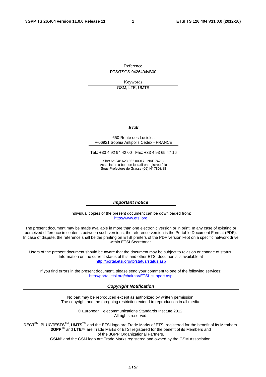Reference RTS/TSGS-0426404vB00

> Keywords GSM, LTE, UMTS

#### *ETSI*

#### 650 Route des Lucioles F-06921 Sophia Antipolis Cedex - FRANCE

Tel.: +33 4 92 94 42 00 Fax: +33 4 93 65 47 16

Siret N° 348 623 562 00017 - NAF 742 C Association à but non lucratif enregistrée à la Sous-Préfecture de Grasse (06) N° 7803/88

#### *Important notice*

Individual copies of the present document can be downloaded from: [http://www.etsi.org](http://www.etsi.org/)

The present document may be made available in more than one electronic version or in print. In any case of existing or perceived difference in contents between such versions, the reference version is the Portable Document Format (PDF). In case of dispute, the reference shall be the printing on ETSI printers of the PDF version kept on a specific network drive within ETSI Secretariat.

Users of the present document should be aware that the document may be subject to revision or change of status. Information on the current status of this and other ETSI documents is available at <http://portal.etsi.org/tb/status/status.asp>

If you find errors in the present document, please send your comment to one of the following services: [http://portal.etsi.org/chaircor/ETSI\\_support.asp](http://portal.etsi.org/chaircor/ETSI_support.asp)

#### *Copyright Notification*

No part may be reproduced except as authorized by written permission. The copyright and the foregoing restriction extend to reproduction in all media.

> © European Telecommunications Standards Institute 2012. All rights reserved.

**DECT**TM, **PLUGTESTS**TM, **UMTS**TM and the ETSI logo are Trade Marks of ETSI registered for the benefit of its Members. **3GPP**TM and **LTE**™ are Trade Marks of ETSI registered for the benefit of its Members and of the 3GPP Organizational Partners.

**GSM**® and the GSM logo are Trade Marks registered and owned by the GSM Association.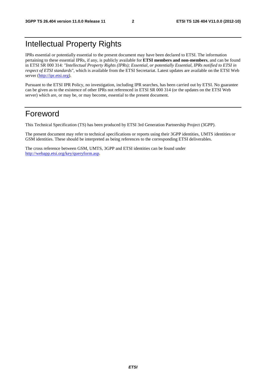# Intellectual Property Rights

IPRs essential or potentially essential to the present document may have been declared to ETSI. The information pertaining to these essential IPRs, if any, is publicly available for **ETSI members and non-members**, and can be found in ETSI SR 000 314: *"Intellectual Property Rights (IPRs); Essential, or potentially Essential, IPRs notified to ETSI in respect of ETSI standards"*, which is available from the ETSI Secretariat. Latest updates are available on the ETSI Web server [\(http://ipr.etsi.org](http://webapp.etsi.org/IPR/home.asp)).

Pursuant to the ETSI IPR Policy, no investigation, including IPR searches, has been carried out by ETSI. No guarantee can be given as to the existence of other IPRs not referenced in ETSI SR 000 314 (or the updates on the ETSI Web server) which are, or may be, or may become, essential to the present document.

# Foreword

This Technical Specification (TS) has been produced by ETSI 3rd Generation Partnership Project (3GPP).

The present document may refer to technical specifications or reports using their 3GPP identities, UMTS identities or GSM identities. These should be interpreted as being references to the corresponding ETSI deliverables.

The cross reference between GSM, UMTS, 3GPP and ETSI identities can be found under [http://webapp.etsi.org/key/queryform.asp.](http://webapp.etsi.org/key/queryform.asp)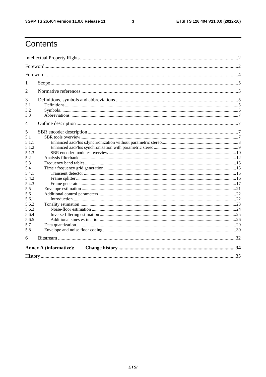$\mathbf{3}$ 

# Contents

| 1     |                               |  |  |  |  |  |
|-------|-------------------------------|--|--|--|--|--|
| 2     |                               |  |  |  |  |  |
| 3     |                               |  |  |  |  |  |
| 3.1   |                               |  |  |  |  |  |
| 3.2   |                               |  |  |  |  |  |
| 3.3   |                               |  |  |  |  |  |
| 4     |                               |  |  |  |  |  |
| 5     |                               |  |  |  |  |  |
| 5.1   |                               |  |  |  |  |  |
| 5.1.1 |                               |  |  |  |  |  |
| 5.1.2 |                               |  |  |  |  |  |
| 5.1.3 |                               |  |  |  |  |  |
| 5.2   |                               |  |  |  |  |  |
| 5.3   |                               |  |  |  |  |  |
| 5.4   |                               |  |  |  |  |  |
| 5.4.1 |                               |  |  |  |  |  |
| 5.4.2 |                               |  |  |  |  |  |
| 5.4.3 |                               |  |  |  |  |  |
| 5.5   |                               |  |  |  |  |  |
| 5.6   |                               |  |  |  |  |  |
| 5.6.1 |                               |  |  |  |  |  |
| 5.6.2 |                               |  |  |  |  |  |
| 5.6.3 |                               |  |  |  |  |  |
| 5.6.4 |                               |  |  |  |  |  |
| 5.6.5 |                               |  |  |  |  |  |
| 5.7   |                               |  |  |  |  |  |
| 5.8   |                               |  |  |  |  |  |
| 6     |                               |  |  |  |  |  |
|       | <b>Annex A (informative):</b> |  |  |  |  |  |
|       |                               |  |  |  |  |  |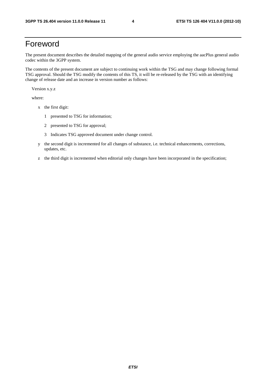# Foreword

The present document describes the detailed mapping of the general audio service employing the aacPlus general audio codec within the 3GPP system.

The contents of the present document are subject to continuing work within the TSG and may change following formal TSG approval. Should the TSG modify the contents of this TS, it will be re-released by the TSG with an identifying change of release date and an increase in version number as follows:

Version x.y.z

where:

- x the first digit:
	- 1 presented to TSG for information;
	- 2 presented to TSG for approval;
	- 3 Indicates TSG approved document under change control.
- y the second digit is incremented for all changes of substance, i.e. technical enhancements, corrections, updates, etc.
- z the third digit is incremented when editorial only changes have been incorporated in the specification;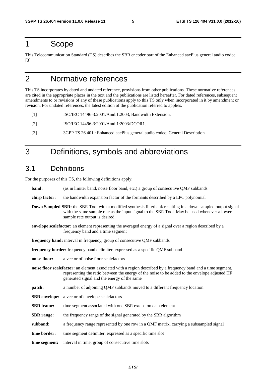# 1 Scope

This Telecommunication Standard (TS) describes the SBR encoder part of the Enhanced aacPlus general audio codec [3].

# 2 Normative references

This TS incorporates by dated and undated reference, provisions from other publications. These normative references are cited in the appropriate places in the text and the publications are listed hereafter. For dated references, subsequent amendments to or revisions of any of these publications apply to this TS only when incorporated in it by amendment or revision. For undated references, the latest edition of the publication referred to applies.

[1] ISO/IEC 14496-3:2001/Amd.1:2003, Bandwidth Extension.

- [2] ISO/IEC 14496-3:2001/Amd.1:2003/DCOR1.
- [3] 3GPP TS 26.401 : Enhanced aacPlus general audio codec; General Description

# 3 Definitions, symbols and abbreviations

# 3.1 Definitions

For the purposes of this TS, the following definitions apply:

| band:                                                                                                                                                  | (as in limiter band, noise floor band, etc.) a group of consecutive QMF subbands                                                                                                                                                                                |  |  |  |
|--------------------------------------------------------------------------------------------------------------------------------------------------------|-----------------------------------------------------------------------------------------------------------------------------------------------------------------------------------------------------------------------------------------------------------------|--|--|--|
| chirp factor:                                                                                                                                          | the bandwidth expansion factor of the formants described by a LPC polynomial                                                                                                                                                                                    |  |  |  |
|                                                                                                                                                        | <b>Down Sampled SBR:</b> the SBR Tool with a modified synthesis filterbank resulting in a down sampled output signal<br>with the same sample rate as the input signal to the SBR Tool. May be used whenever a lower<br>sample rate output is desired.           |  |  |  |
| <b>envelope scalefactor:</b> an element representing the averaged energy of a signal over a region described by a<br>frequency band and a time segment |                                                                                                                                                                                                                                                                 |  |  |  |
|                                                                                                                                                        | frequency band: interval in frequency, group of consecutive QMF subbands                                                                                                                                                                                        |  |  |  |
|                                                                                                                                                        | frequency border: frequency band delimiter, expressed as a specific QMF subband                                                                                                                                                                                 |  |  |  |
| noise floor:                                                                                                                                           | a vector of noise floor scalefactors                                                                                                                                                                                                                            |  |  |  |
|                                                                                                                                                        | noise floor scalefactor: an element associated with a region described by a frequency band and a time segment,<br>representing the ratio between the energy of the noise to be added to the envelope adjusted HF<br>generated signal and the energy of the same |  |  |  |
| patch:                                                                                                                                                 | a number of adjoining QMF subbands moved to a different frequency location                                                                                                                                                                                      |  |  |  |
|                                                                                                                                                        | <b>SBR</b> envelope: a vector of envelope scalefactors                                                                                                                                                                                                          |  |  |  |
| <b>SBR</b> frame:                                                                                                                                      | time segment associated with one SBR extension data element                                                                                                                                                                                                     |  |  |  |
| <b>SBR</b> range:                                                                                                                                      | the frequency range of the signal generated by the SBR algorithm                                                                                                                                                                                                |  |  |  |
| subband:                                                                                                                                               | a frequency range represented by one row in a QMF matrix, carrying a subsampled signal                                                                                                                                                                          |  |  |  |
| time border:                                                                                                                                           | time segment delimiter, expressed as a specific time slot                                                                                                                                                                                                       |  |  |  |
| time segment:                                                                                                                                          | interval in time, group of consecutive time slots                                                                                                                                                                                                               |  |  |  |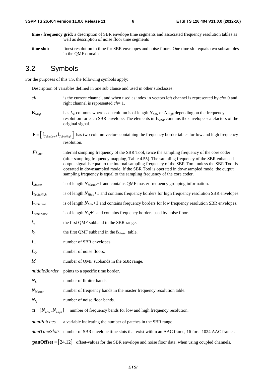- **time / frequency grid:** a description of SBR envelope time segments and associated frequency resolution tables as well as description of noise floor time segments
- **time slot:** finest resolution in time for SBR envelopes and noise floors. One time slot equals two subsamples in the QMF domain

#### 3.2 Symbols

For the purposes of this TS, the following symbols apply:

Description of variables defined in one sub clause and used in other subclasses.

- *ch* is the current channel, and when used as index in vectors left channel is represented by *ch*= 0 and right channel is represented *ch*= 1.
- $\mathbf{E}_{Orig}$  has  $L_E$  columns where each column is of length  $N_{Low}$  or  $N_{High}$  depending on the frequency resolution for each SBR envelope. The elements in **E***Orig* contains the envelope scalefactors of the original signal.
- $\mathbf{F} = \left| \mathbf{f}_{\text{TableLow}} , \mathbf{f}_{\text{TableHich}} \right|$  has two column vectors containing the frequency border tables for low and high frequency resolution.
- *FS<sub>SRR</sub>* internal sampling frequency of the SBR Tool, twice the sampling frequency of the core coder (after sampling frequency mapping, Table 4.55). The sampling frequency of the SBR enhanced output signal is equal to the internal sampling frequency of the SBR Tool, unless the SBR Tool is operated in downsampled mode. If the SBR Tool is operated in downsampled mode, the output sampling frequency is equal to the sampling frequency of the core coder.
- **f**<sub>*Master*</sub> is of length *N*<sub>*Master*</sub>+1 and contains QMF master frequency grouping information.
- **f**<sub>*TableHigh* is of length  $N_{High}+1$  and contains frequency borders for high frequency resolution SBR envelopes.</sub>
- **f***TableLow* is of length *NLow*+1 and contains frequency borders for low frequency resolution SBR envelopes.
- $f_{\text{TableNoise}}$  is of length  $N_{\text{O}}+1$  and contains frequency borders used by noise floors.
- $k_x$  the first QMF subband in the SBR range.
- *k0* the first QMF subband in the **f***Master* table.
- *L<sub>E</sub>* number of SBR envelopes.
- *L*<sub>O</sub> number of noise floors.
- *M* number of QMF subbands in the SBR range.
- *middleBorder* points to a specific time border.
- *N<sub>L</sub>* number of limiter bands.
- *N<sub>Master</sub>* number of frequency bands in the master frequency resolution table.
- *N<sub>O</sub>* number of noise floor bands.

 $\mathbf{n} = [N_{low}, N_{High}]$  number of frequency bands for low and high frequency resolution.

*numPatches* a variable indicating the number of patches in the SBR range.

*numTimeSlots* number of SBR envelope time slots that exist within an AAC frame, 16 for a 1024 AAC frame.

**panOffset** =  $\begin{bmatrix} 24,12 \end{bmatrix}$  offset-values for the SBR envelope and noise floor data, when using coupled channels.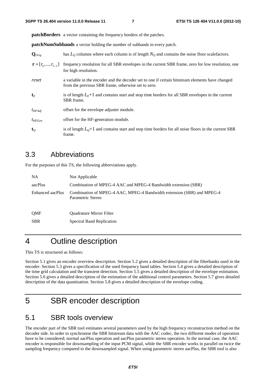**patchBorders** a vector containing the frequency borders of the patches.

**patchNumSubbands** a vector holding the number of subbands in every patch.

| $\mathbf{Q}_{Orig}$             | has $L_0$ columns where each column is of length $N_0$ and contains the noise floor scale factors.                                                     |
|---------------------------------|--------------------------------------------------------------------------------------------------------------------------------------------------------|
| $\mathbf{r} = [r_0, , r_{L-1}]$ | frequency resolution for all SBR envelopes in the current SBR frame, zero for low resolution, one<br>for high resolution.                              |
| reset                           | a variable in the encoder and the decoder set to one if certain bitstream elements have changed<br>from the previous SBR frame, otherwise set to zero. |
| $\mathbf{t}_E$                  | is of length $LE+1$ and contains start and stop time borders for all SBR envelopes in the current<br>SBR frame.                                        |
| $t_{HFAdi}$                     | offset for the envelope adjuster module.                                                                                                               |
| $t_{HFGen}$                     | offset for the HF-generation module.                                                                                                                   |
| $\mathbf{t}_o$                  | is of length $L_0+1$ and contains start and stop time borders for all noise floors in the current SBR<br>frame.                                        |

#### 3.3 Abbreviations

For the purposes of this TS, the following abbreviations apply.

| <b>NA</b>        | Not Applicable                                                                              |
|------------------|---------------------------------------------------------------------------------------------|
| aacPlus          | Combination of MPEG-4 AAC and MPEG-4 Bandwidth extension (SBR)                              |
| Enhanced aacPlus | Combination of MPEG-4 AAC, MPEG-4 Bandwidth extension (SBR) and MPEG-4<br>Parametric Stereo |
| <b>OMF</b>       | <b>Ouadrature Mirror Filter</b>                                                             |
| <b>SBR</b>       | <b>Spectral Band Replication</b>                                                            |

# 4 Outline description

This TS is structured as follows:

Section 5.1 gives an encoder overview description. Section 5.2 gives a detailed description of the filterbanks used in the encoder. Section 5.3 gives a specification of the used frequency band tables. Section 5.4 gives a detailed description of the time grid calculation and the transient detection. Section 5.5 gives a detailed description of the envelope estimation. Section 5.6 gives a detailed description of the estimation of the additional control parameters. Section 5.7 gives detailed description of the data quantisation. Section 5.8 gives a detailed description of the envelope coding.

# 5 SBR encoder description

### 5.1 SBR tools overview

The encoder part of the SBR tool estimates several parameters used by the high frequency reconstruction method on the decoder side. In order to synchronise the SBR bitstream data with the AAC codec, the two different modes of operation have to be considered; normal aacPlus operation and aacPlus parametric stereo operation. In the normal case, the AAC encoder is responsible for downsampling of the input PCM signal, while the SBR encoder works in parallel on twice the sampling frequency compared to the downsampled signal. When using parametric stereo aacPlus, the SBR tool is also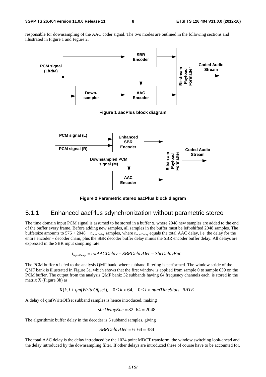responsible for downsampling of the AAC coder signal. The two modes are outlined in the following sections and illustrated in Figure 1 and Figure 2.



**Figure 2 Parametric stereo aacPlus block diagram** 

#### 5.1.1 Enhanced aacPlus sdynchronization without parametric stereo

The time domain input PCM signal is assumed to be stored in a buffer **x**, where 2048 new samples are added to the end of the buffer every frame. Before adding new samples, all samples in the buffer must be left-shifted 2048 samples. The buffersize amounts to 576 + 2048 + *t*inputDelay samples, where *t*inputDelay equals the total AAC delay, i.e. the delay for the entire encoder – decoder chain, plus the SBR decoder buffer delay minus the SBR encoder buffer delay. All delays are expressed in the SBR input sampling rate:

$$
t_{inputDelay} = totAACDelay + SBRDelayDec - SbrDelayEnc
$$

The PCM buffer **x** is fed to the analysis QMF bank, where subband filtering is performed. The window stride of the QMF bank is illustrated in Figure 3a, which shows that the first window is applied from sample 0 to sample 639 on the PCM buffer. The output from the analysis QMF bank: 32 subbands having 64 frequency channels each, is stored in the matrix **X** (Figure 3b) as

 $\mathbf{X}(k, l+qmfWriteOffset), \quad 0 \leq k < 64, \quad 0 \leq l < numTimeSlots \cdot RATE$ 

A delay of qmfWriteOffset subband samples is hence introduced, making

$$
sbrDelayEnc = 32 \cdot 64 = 2048
$$

The algorithmic buffer delay in the decoder is 6 subband samples, giving

$$
SBRDelayDec = 6 \cdot 64 = 384
$$

The total AAC delay is the delay introduced by the 1024 point MDCT transform, the window switching look-ahead and the delay introduced by the downsampling filter. If other delays are introduced these of course have to be accounted for.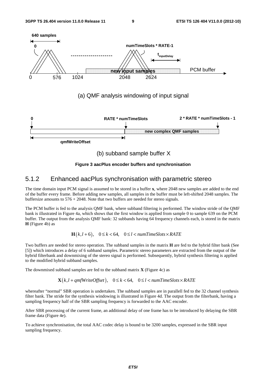

**Figure 3 aacPlus encoder buffers and synchronisation** 

#### 5.1.2 Enhanced aacPlus synchronisation with parametric stereo

The time domain input PCM signal is assumed to be stored in a buffer **x**, where 2048 new samples are added to the end of the buffer every frame. Before adding new samples, all samples in the buffer must be left-shifted 2048 samples. The buffersize amounts to 576 + 2048. Note that two buffers are needed for stereo signals.

The PCM buffer is fed to the analysis QMF bank, where subband filtering is performed. The window stride of the QMF bank is illustrated in Figure 4a, which shows that the first window is applied from sample 0 to sample 639 on the PCM buffer. The output from the analysis QMF bank: 32 subbands having 64 frequency channels each, is stored in the matrix **H** (Figure 4b) as

#### $\mathbf{H}(k, l+6)$ ,  $0 \le k < 64$ ,  $0 \le l < numTimeSlots \times RATE$

Two buffers are needed for stereo operation. The subband samples in the matrix **H** are fed to the hybrid filter bank (See [5]) which introduces a delay of 6 subband samples. Parametric stereo parameters are extracted from the output of the hybrid filterbank and downmixing of the stereo signal is performed. Subsequently, hybrid synthesis filtering is applied to the modified hybrid subband samples.

The downmixed subband samples are fed to the subband matrix **X** (Figure 4c) as

 $\mathbf{X}(k, l + qmfWriteOffset), \quad 0 \le k < 64, \quad 0 \le l < numTimeSlots \times RATE$ 

whereafter "normal" SBR operation is undertaken. The subband samples are in parallell fed to the 32 channel synthesis filter bank. The stride for the synthesis windowing is illustrated in Figure 4d. The output from the filterbank, having a sampling frequency half of the SBR sampling frequency is forwarded to the AAC encoder.

After SBR processing of the current frame, an additional delay of one frame has to be introduced by delaying the SBR frame data (Figure 4e).

To achieve synchronisation, the total AAC codec delay is bound to be 3200 samples, expressed in the SBR input sampling frequency.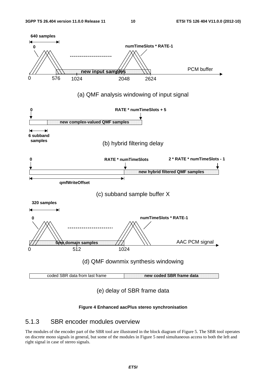

#### **Figure 4 Enhanced aacPlus stereo synchronisation**

#### 5.1.3 SBR encoder modules overview

The modules of the encoder part of the SBR tool are illustrated in the block diagram of Figure 5. The SBR tool operates on discrete mono signals in general, but some of the modules in Figure 5 need simultaneous access to both the left and right signal in case of stereo signals.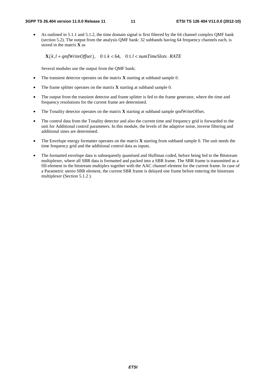• As outlined in 5.1.1 and 5.1.2, the time domain signal is first filtered by the 64 channel complex QMF bank (section 5.2). The output from the analysis QMF bank: 32 subbands having 64 frequency channels each, is stored in the matrix **X** as

 $\mathbf{X}(k, l + qmfWriteOffset), \quad 0 \le k < 64, \quad 0 \le l < numTimeSlots \cdot RATE$ 

Several modules use the output from the QMF bank;

- The transient detector operates on the matrix **X** starting at subband sample 0.
- The frame splitter operates on the matrix **X** starting at subband sample 0.
- The output from the transient detector and frame splitter is fed to the frame generator, where the time and frequency resolutions for the current frame are determined.
- The Tonality detector operates on the matrix **X** starting at subband sample qmfWriteOffset.
- The control data from the Tonality detector and also the current time and frequency grid is forwarded to the unit for Additional control parameters. In this module, the levels of the adaptive noise, inverse filtering and additional sines are determined.
- The Envelope energy formatter operates on the matrix **X** starting from subband sample 0. The unit needs the time frequency grid and the additional control data as inputs.
- The formatted envelope data is subsequently quantised and Huffman coded, before being fed to the Bitstream multiplexer, where all SBR data is formatted and packed into a SBR frame. The SBR frame is transmitted as a fill-element in the bitstream multiplex together with the AAC channel element for the current frame. In case of a Parametric stereo SBR element, the current SBR frame is delayed one frame before entering the bitstream multiplexer (Section 5.1.2 ).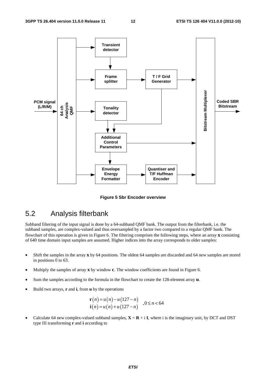

**Figure 5 Sbr Encoder overview** 

# 5.2 Analysis filterbank

Subband filtering of the input signal is done by a 64-subband QMF bank. The output from the filterbank, i.e. the subband samples, are complex-valued and thus oversampled by a factor two compared to a regular QMF bank. The flowchart of this operation is given in Figure 6. The filtering comprises the following steps, where an array **x** consisting of 640 time domain input samples are assumed. Higher indices into the array corresponds to older samples:

- Shift the samples in the array **x** by 64 positions. The oldest 64 samples are discarded and 64 new samples are stored in positions 0 to 63.
- Multiply the samples of array **x** by window **c**. The window coefficients are found in Figure 6.
- Sum the samples according to the formula in the flowchart to create the 128-element array **u**.
- Build two arrays, **r** and **i**, from **u** by the operations

$$
\mathbf{r}(n) = u(n) - u(127 - n)
$$
  
\n
$$
\mathbf{i}(n) = u(n) + u(127 - n)
$$
,  $0 \le n < 64$ 

Calculate 64 new complex-valued subband samples,  $X = R + iI$ , where i is the imaginary unit, by DCT and DST type III transforming **r** and **i** according to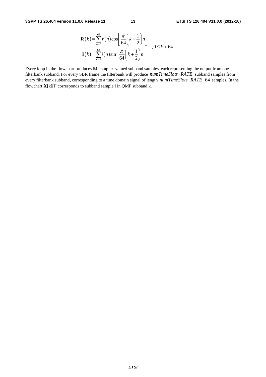$$
\mathbf{R}(k) = \sum_{n=0}^{63} r(n) \cos \left[ \frac{\pi}{64} \left( k + \frac{1}{2} \right) n \right]
$$
  

$$
\mathbf{I}(k) = \sum_{n=0}^{63} i(n) \sin \left[ \frac{\pi}{64} \left( k + \frac{1}{2} \right) n \right]
$$
 ,  $0 \le k < 64$ 

Every loop in the flowchart produces 64 complex-valued subband samples, each representing the output from one filterbank subband. For every SBR frame the filterbank will produce  $numTimeSlots \cdot RATE$  subband samples from every filterbank subband, corresponding to a time domain signal of length  $numTimeSlots \cdot RATE \cdot 64$  samples. In the flowchart **X**[k][l] corresponds to subband sample l in QMF subband k.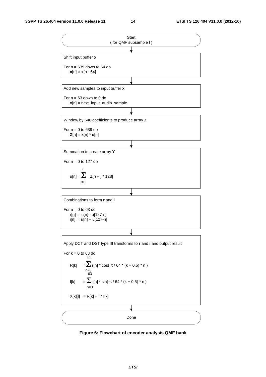

**Figure 6: Flowchart of encoder analysis QMF bank**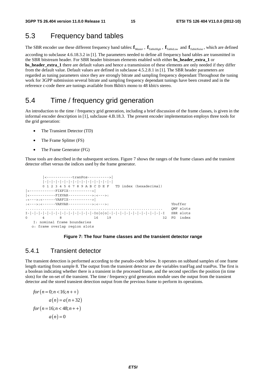## 5.3 Frequency band tables

The SBR encoder use these different frequency band tables:  $f_{Master}$ ,  $f_{TableHigh}$ ,  $f_{TableLow}$  and  $f_{TableNoise}$ , which are defined according to subclause 4.6.18.3.2 in [1]. The parameters needed to define all frequency band tables are transmitted in the SBR bitstream header. For SBR header bitstream elements enabled with either **bs\_header\_extra\_1** or **bs\_header\_extra\_1** there are default values and hence a transmission of these elements are only needed if they differ from the default value. Default values are defined in subclause 4.5.2.8.1 in [1]. The SBR header parameters are regarded as tuning parameters since they are strongly bitrate and sampling frequency dependant Throughout the tuning work for 3GPP submission several bitrate and sampling frequency dependant tunings have been created and in the reference c-code there are tunings available from 8kbit/s mono to 48 kbit/s stereo.

### 5.4 Time / frequency grid generation

An introduction to the time / frequency grid generation, including a brief discussion of the frame classes, is given in the informal encoder description in [1], subclause 4.B.18.3. The present encoder implementation employs three tools for the grid generation:

- The Transient Detector (TD)
- The Frame Splitter (FS)
- The Frame Generator (FG)

Those tools are described in the subsequent sections. Figure 7 shows the ranges of the frame classes and the transient detector offset versus the indices used by the frame generator.

```
 |<------------tranPos---------->| 
         |-|-|-|-|-|-|-|-|-|-|-|-|-|-|-|-| 
         0 1 2 3 4 5 6 7 8 9 A B C D E F TD index (hexadecimal) 
     |<------------FIXFIX----------->| 
|<------------FIXVAR----------->:<--->: 
.<br>:<--->:<------VARFIX----------->|
:<--->:<------VARVAR----------->:<--->: Ybuffer 
................................................................ QMF slots 
\mathbf{I}-|-|-|-|-|-|-|-|-|-|-|-|-|-|-1-\mathbf{I}\circ|\circ|\circ|-|-|-|-|-|-|-|-|-|-|-|-|-|-|-|-|-1 \qquad \text{SBR } {\tt slots }8 16 19 32 FG index
    I: nominal frame boundaries 
   o: frame overlap region slots
```
#### **Figure 7: The four frame classes and the transient detector range**

#### 5.4.1 Transient detector

The transient detection is performed according to the pseudo-code below. It operates on subband samples of one frame length starting from sample 8. The output from the transient detector are the variables tranFlag and tranPos. The first is a boolean indicating whether there is a transient in the processed frame, and the second specifies the position (in time slots) for the on-set of the transient. The time / frequency grid generation module uses the output from the transient detector and the stored transient detection output from the previous frame to perform its operations.

$$
for (n = 0; n < 16; n++)
$$
  
a(n) = a(n+32)  
for (n = 16; n < 48; n++)  
a(n) = 0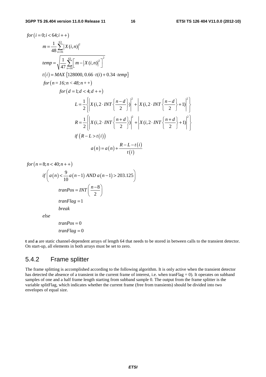$$
for (i = 0; i < 64; i++)
$$
\n
$$
m = \frac{1}{48} \sum_{n=16}^{63} |X(i, n)|^2
$$
\n
$$
temp = \sqrt{\frac{1}{47} \sum_{n=16}^{63} [m - |X(i, n)|^2]^2}
$$
\n
$$
t(i) = MAX \{128000, 0.66 \cdot t(i) + 0.34 \cdot temp\}
$$
\n
$$
for (n = 16; n < 48; n++)
$$
\n
$$
for (d = 1; d < 4; d++)
$$
\n
$$
L = \frac{1}{2} \left\{ \left| X(i, 2 \cdot INT \left\{ \frac{n - d}{2} \right\} \right|^2 + \left| X(i, 2 \cdot INT \left\{ \frac{n - d}{2} \right\} + 1 \right|^2 \right\}
$$
\n
$$
R = \frac{1}{2} \left\{ \left| X(i, 2 \cdot INT \left\{ \frac{n + d}{2} \right\} \right|^2 + \left| X(i, 2 \cdot INT \left\{ \frac{n + d}{2} \right\} + 1 \right|^2 \right\}
$$
\n
$$
if (R - L > t(i))
$$
\n
$$
a(n) = a(n) + \frac{R - L - t(i)}{t(i)}
$$

 $for (n = 8; n < 40; n++)$ 

$$
if\left(a(n) < \frac{9}{10}a(n-1) \text{ AND } a(n-1) > 203.125\right)
$$
\n
$$
tranPos = INT\left(\frac{n-8}{2}\right)
$$
\n
$$
tranFlag = 1
$$
\n
$$
break
$$
\n
$$
else
$$

$$
tranPos = 0
$$

$$
tranFlag = 0
$$

**t** and **a** are static channel-dependent arrays of length 64 that needs to be stored in between calls to the transient detector. On start-up, all elements in both arrays must be set to zero.

#### 5.4.2 Frame splitter

The frame splitting is accomplished according to the following algorithm. It is only active when the transient detector has detected the absence of a transient in the current frame of interest, i.e. when tranFlag = 0). It operates on subband samples of one and a half frame length starting from subband sample 0. The output from the frame splitter is the variable splitFlag, which indicates whether the current frame (free from transients) should be divided into two envelopes of equal size.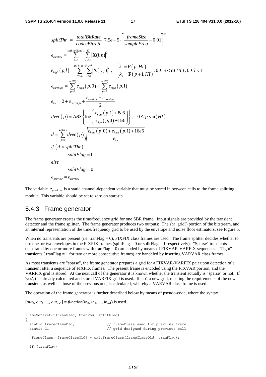$$
splitThr = \frac{totalBitRate}{codeBitrate} \cdot 7.5e - 5 \cdot \left[ \frac{frameSize}{sampleFreq} - 0.01 \right]^2
$$
\n
$$
e_{curflow} = \sum_{i=0}^{sbrStartBand-1} \sum_{n=16}^{47} \left[ \mathbf{X}(i,n) \right]^2
$$
\n
$$
e_{high}(p,l) = \sum_{j=16}^{16(I+1)-1} \sum_{i=k_j}^{k-1} \left[ \mathbf{X}(i,j) \right]^2, \quad \begin{cases} k_l = \mathbf{F}(p,HI) \\ k_h = \mathbf{F}(p+1,HI) \end{cases}, 0 \le p < \mathbf{n}(HI), 0 \le l < 1
$$
\n
$$
e_{curhigh} = \sum_{p=0}^{\mathbf{n}(HI)} e_{high}(p,0) + \sum_{p=0}^{\mathbf{n}(HI)} e_{high}(p,1)
$$
\n
$$
e_{tot} = 2 + e_{curhigh} + \frac{e_{curflow} + e_{prevlow}}{2}
$$
\n
$$
dvec(p) = ABS \left\{ log \left( \frac{e_{high}(p,1) + 8e6}{e_{high}(p,0) + 8e6} \right) \right\}, \quad 0 \le p < \mathbf{n}(HI)
$$
\n
$$
d = \sum_{p=0}^{\mathbf{n}(HI)} dvec(p) \left\{ \frac{e_{high}(p,0) + e_{high}(p,1) + 16e6}{e_{tot}}
$$
\n
$$
if (d > splitThr)
$$
\n
$$
splitFlag = 1
$$
\n
$$
else
$$
\n
$$
splitFlag = 0
$$
\n
$$
e_{prevlow} = e_{curflow}
$$

The variable  $e_{\text{new-}l, \text{new}}$  is a static channel-dependent variable that must be stored in between calls to the frame splitting module. This variable should be set to zero on start-up.

#### 5.4.3 Frame generator

The frame generator creates the time/frequency grid for one SBR frame. Input signals are provided by the transient detector and the frame splitter. The frame generator produces two outputs: The sbr\_grid() portion of the bitstream, and an internal representation of the time/frequency grid to be used by the envelope and noise floor estimators, see Figure 5.

When no transients are present (i.e. tranFlag = 0), FIXFIX class frames are used. The frame splitter decides whether to use one or two envelopes in the FIXFIX frames (splitFlag = 0 or splitFlag = 1 respectively). "Sparse" transients (separated by one or more frames with tranFlag  $= 0$ ) are coded by means of FIXVAR-VARFIX sequences. "Tight" transients ( tranFlag = 1 for two or more consecutive frames) are handeled by inserting VARVAR class frames.

As most transients are "sparse", the frame generator prepares a grid for a FIXVAR-VARFIX pair upon detection of a transient after a sequence of FIXFIX frames. The present frame is encoded using the FIXVAR portion, and the VARFIX grid is stored. At the next call of the generator it is known whether the transient actually is "sparse" or not. If 'yes', the already calculated and stored VARFIX grid is used. If 'no', a new grid, meeting the requirements of the new transient, as well as those of the previous one, is calculated, whereby a VARVAR class frame is used.

The operation of the frame generator is further described below by means of pseudo-code, where the syntax

 $[out_0, out_1, ..., out_{m-1}] = function(in_0, in_1, ..., in_{n-1})$  is used.

```
FrameGenerator(tranFlag, tranPos, splitFlag) 
{ 
  static frameClassOld; // frameClass used for previous frame 
  static G1; // grid designed during previous call 
 [frameClass, frameClassOld] = calcFrameClass(frameClassOld, tranFlag);
  if (tranFlag)
```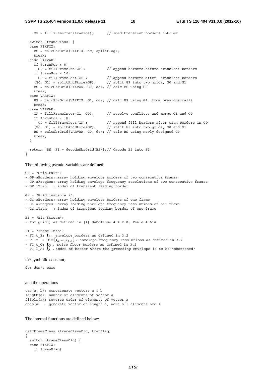**3GPP TS 26.404 version 11.0.0 Release 11 18 ETSI TS 126 404 V11.0.0 (2012-10)**

```
 GP = fillFrameTran(tranPos); // load transient borders into GP 
  switch (frameClass) { 
  case FIXFIX: 
    BS = calcSbrGrid(FIXFIX, dc, splitFlag); 
    break; 
  case FIXVAR: 
    if (tranPos > 8) 
      GP = fillFramePre(GP); // append borders before transient borders 
    if (tranPos < 10) 
 GP = fillFramePost(GP); // append borders after transient borders 
 [G0, G1] = splitAndStore(GP); // split GP into two grids, G0 and G1 
   BS = calcSbrGrid(FIXVAR, G0, dc); // calc BS using G0
    break; 
  case VARFIX: 
    BS = calcSbrGrid(VARFIX, G1, dc); // calc BS using G1 (from previous call) 
    break; 
  case VARVAR: 
   GP = fillFrameInter(G1, GP); // resolve conflicts and merge G1 and GP
    if (tranPos < 10) 
 GP = fillFramePost(GP); // append fill-borders after tran-borders in GP 
 [G0, G1] = splitAndStore(GP); // split GP into two grids, G0 and G1 
    BS = calcSbrGrid(VARVAR, G0, dc); // calc BS using newly designed G0 
    break; 
  } 
  return [BS, FI = decodeSbrGrid(BS)];// decode BS into FI 
}
```
The following pseudo-variables are defined:

```
GP = "Grid-Pair": 
- GP.aBorders: array holding envelope borders of two consecutive frames 
- GP.aFreqRes: array holding envelope frequency resolutions of two consecutive frames 
- GP.iTran : index of transient leading border 
Gi = "Grid instance i": 
- Gi.aBorders: array holding envelope borders of one frame 
- Gi.aFreqRes: array holding envelope frequency resolutions of one frame 
- Gi.iTran : index of transient leading border of one frame 
BS = "Bit-Stream": 
- sbr grid() as defined in [1] Subclause 4.4.2.8, Table 4.61A
FI = "Frame-Info": 
- FI.t_E: tE , envelope borders as defined in 3.2 
- FI.r : \mathbf{r} = [r_0, ..., r_{L-1}], envelope frequency resolutions as defined in 3.2
- FI.t_Q: tQ , noise floor borders as defined in 3.2 
- FI.1 A: l_A, index of border where the preceding envelope is to be "shortened"
```
the symbolic constant,

dc: don't care

and the operations

```
cat(a, b): concatenate vectors a & b 
length(a): number of elements of vector a 
fliplr(a): reverse order of elements of vector a 
ones(a) : generate vector of length a, were all elements are 1
```
The internal functions are defined below:

```
calcFrameClass (frameClassOld, tranFlag) 
{ 
   switch (frameClassOld) { 
   case FIXFIX: 
     if (tranFlag)
```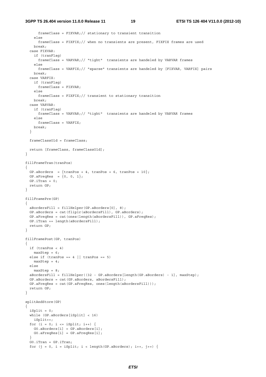```
 frameClass = FIXVAR;// stationary to transient transition 
     else 
       frameClass = FIXFIX;// when no transients are present, FIXFIX frames are used 
     break; 
   case FIXVAR: 
     if (tranFlag) 
       frameClass = VARVAR;// "tight" transients are handeled by VARVAR frames 
     else 
      frameClass = VARFIX;// "sparse" transients are handeled by [FIXVAR, VARFIX] pairs 
     break; 
   case VARFIX: 
     if (tranFlag) 
      frameClass = FIXVAR; 
     else 
     frameClass = FIXFIX:// transient to stationary transition
    break; 
   case VARVAR: 
    if (tranFlag) 
      frameClass = VARVAR;// "tight" transients are handeled by VARVAR frames 
     else 
      frameClass = VARFIX; 
    break; 
   } 
   frameClassOld = frameClass; 
   return [frameClass, frameClassOld]; 
} 
fillFrameTran(tranPos) 
{ 
 GP.aBorders = \{tranPos + 4, tranPos + 6, tranPos + 10\};
 GP.aFreqRes = \{0, 0, 1\};
 GP.irran = 0; return GP; 
} 
fillFramePre(GP) 
{ 
   aBordersFill = fillHelper(GP.aBorders[0], 8); 
  GP.aBorders = cat(fliplr(aBordersFill), GP.aBorders); 
   GP.aFreqRes = cat(ones(length(aBordersFill)), GP.aFreqRes); 
  GP.iTran += length(aBordersFill); 
   return GP; 
} 
fillFramePost(GP, tranPos) 
{ 
  if (tranPos < 4) 
   maxStep = 6;else if (tranPos == 4 | | tranPos == 5)maxStep = 4; else 
   maxStep = 8;
   aBordersFill = fillHelper((32 - GP.aBorders[length(GP.aBorders) - 1], maxStep); 
   GP.aBorders = cat(GP.aBorders, aBordersFill); 
   GP.aFreqRes = cat(GP.aFreqRes, ones(length(aBordersFill))); 
   return GP; 
} 
splitAndStore(GP) 
{ 
  iSplit = 0; while (GP.aBorders[iSplit] < 16) 
     iSplit++; 
  for (i = 0; i \le i \text{Split}; i++) G0.aBorders[i] = GP.aBorders[i]; 
    G0.aFreqRes[i] = GP.aFreqRes[i]; 
 } 
   G0.iTran = GP.iTran; 
  for (j = 0, i = iSplit; i < length(GP.aBorders); i++, j++) {
```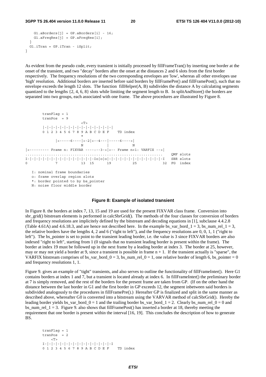```
G1.aBorders[i] = GP.aBorders[i] - 16;G1.aFreqRes[j] = GP.aFreqRes[i]; } 
  G1.iTran = GP.iTran - iSplit; 
}
```
As evident from the pseudo code, every transient is initially processed by fillFrameTran() by inserting one border at the onset of the transient, and two "decay" borders after the onset at the distances 2 and 6 slots from the first border respectively. The frequency resolutions of the two corresponding envelopes are 'low', whereas all other envelopes use 'high' resolution. Additional borders are inserted before said borders by fillFramePre() and fillFramePost(), such that no envelope exceeds the length 12 slots. The function fillHelper( $A$ ,  $B$ ) subdivides the distance  $A$  by calculating segments quantized to the lengths  $\{2, 4, 6, 8\}$  slots while limiting the segment length to B. In splitAndStore() the borders are separated into two groups, each associated with one frame. The above procedures are illustrated by Figure 8.

```
 tranFlag = 1 
      tranPos = 9 
\rm <\! T\!> |-|-|-|-|-|-|-|-|-|-|-|-|-|-|-|-| 
      0 1 2 3 4 5 6 7 8 9 A B C D E F TD index 
\star |<-----6----|<-2|<--4---|-----6---->| 
N N N
|<--------- Frame n: FIXVAR ----:--3->|<-- Frame n+1: VARFIX -->| 
 ................................................................ QMF slots 
I-|-|-|-|-|-|-|-|-|-|-|-|-|-|-|-Io|o|o|-|-|-|-|-|-|-|-|-|-|-|-|-I SBR slots 
0 7 13 15 19 25 32 FG index
```
I: nominal frame boundaries

o: frame overlap region slots

\*: border pointed to by bs\_pointer

N: noise floor middle border

#### **Figure 8: Example of isolated transient**

In Figure 8. the borders at index 7, 13, 15 and 19 are used for the present FIXVAR class frame. Conversion into sbr\_grid() bitstream elements is performed in calcSbrGrid(). The methods of the four classes for conversion of borders and frequency resolutions are implicitely defined by the bitstream and decoding equations in [1], subclause 4.4.2.8 (Table 4.61A) and 4.6.18.3, and are hence not described here. In the example bs\_var\_bord\_1 = 3, bs\_num\_rel\_1 = 3, the relative borders have the lengths 4, 2 and 6 ("right to left"), and the frequency resolutions are 0, 0, 1, 1 ("right to left"). The bs\_pointer is set to point to the transient leading border, i.e. the value is 3 since FIXVAR borders are also indexed "right to left", starting from 1 (0 signals that no transient leading border is present within the frame). The border at index 19 must be followed up in the next frame by a leading border at index 3. The border at 25, however, may or may not yield a border at 9, since a transient is possible in frame  $n + 1$ . If the transient actually is "sparse", the VARFIX bitstream comprises of bs\_var\_bord\_0 = 3, bs\_num\_rel\_0 = 1, one relative border of length 6, bs\_pointer = 0 and frequency resolutions 1, 1.

Figure 9. gives an example of "tight" transients, and also serves to outline the functionality of fillFrameInter(). Here G1 contains borders at index 1 and 7, but a transient is located already at index 6. In fillFrameInter() the preliminary border at 7 is simply removed, and the rest of the borders for the present frame are taken from GP. (If on the other hand the distance between the last border in G1 and the first border in GP exceeds 12, the segment inbetween said borders is subdivided analogously to the procedures in fillFramePre().) Hereafter GP is finalized and split in the same manner as described above, whereafter G0 is converted into a bitstream using the VARVAR method of calcSbrGrid(). Hereby the leading border yields bs\_var\_bord\_0 = 1 and the trailing border bs\_var\_bord\_1 = 2. Clearly bs\_num\_rel\_0 = 0 and bs num rel  $1 = 3$ . Figure 9. also shows that fillFramePost() has inserted a border at 18, thereby meeting the requirement that one border is present within the interval [16, 19]. This concludes the description of how to generate BS.

```
 tranFlag = 1 
 tranPos = 2 
    \langle T \rangle I-|-|-|-|-|-|-|-|-|-|-|-|-|-|-|-I 
 0 1 2 3 4 5 6 7 8 9 A B C D E F TD index
```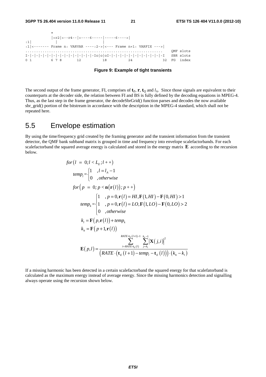

**Figure 9: Example of tight transients** 

The second output of the frame generator, FI, comprises of  $\mathbf{t}_E$ ,  $\mathbf{r}$ ,  $\mathbf{t}_O$  and  $l_A$ . Since those signals are equivalent to their counterparts at the decoder side, the relation between FI and BS is fully defined by the decoding equations in MPEG-4. Thus, as the last step in the frame generator, the decodeSbrGrid() function parses and decodes the now available sbr\_grid() portion of the bitstream in accordance with the description in the MPEG-4 standard, which shall not be repeated here.

# 5.5 Envelope estimation

By using the time/frequency grid created by the framing generator and the transient information from the transient detector, the QMF bank subband matrix is grouped in time and frequency into envelope scalefactorbands. For each scalefactorband the squared average energy is calculated and stored in the energy matrix **E** according to the recursion below.

$$
for (l = 0; l < L_E; l++)
$$
\n
$$
temp_l = \begin{cases} 1, & l = l_A - 1 \\ 0, & otherwise \end{cases}
$$
\n
$$
for (p = 0; p < \mathbf{n}(\mathbf{r}(l)); p++)
$$
\n
$$
temp_k = \begin{cases} 1, & p = 0, \mathbf{r}(l) = HI, \mathbf{F}(1, HI) - \mathbf{F}(0, HI) > 1 \\ 1, & p = 0, \mathbf{r}(l) = LO, \mathbf{F}(1, LO) - \mathbf{F}(0, LO) > 2 \\ 0, & otherwise \end{cases}
$$
\n
$$
k_l = \mathbf{F}(p, \mathbf{r}(l)) + temp_k
$$
\n
$$
k_h = \mathbf{F}(p + 1, \mathbf{r}(l))
$$
\n
$$
RATE + E(l+1) - 1 = \sum_{i=1}^{k_A TE} |\mathbf{X}(j, i)|^2
$$
\n
$$
\mathbf{E}(p, l) = \frac{EATE + E(l+1) - 1}{\left(RATE - (\mathbf{t}_E(l+1) - temp_l - \mathbf{t}_E(l))\right) \cdot (k_h - k_l)}
$$

If a missing harmonic has been detected in a certain scalefactorband the squared energy for that scalefatorband is calculated as the maximum energy instead of average energy. Since the missing harmonics detection and signalling always operate using the recursion shown below.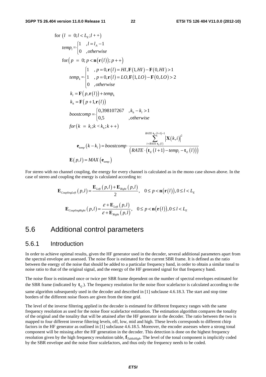for 
$$
(l = 0; l < L_E; l + +)
$$
  
\n
$$
temp_l =\begin{cases}\n1 & , l = l_A - 1 \\
0 & , otherwise\n\end{cases}
$$
\nfor  $(p = 0; p < \mathbf{n}(\mathbf{r}(l)); p + +)$   
\n
$$
temp_k =\begin{cases}\n1 & , p = 0, \mathbf{r}(l) = HI, \mathbf{F}(1, HI) - \mathbf{F}(0, HI) > 1 \\
1 & , p = 0, \mathbf{r}(l) = LO, \mathbf{F}(1, LO) - \mathbf{F}(0, LO) > 2\n\end{cases}
$$
\n
$$
k_l = \mathbf{F}(p, \mathbf{r}(l)) + temp_k
$$
\n
$$
k_h = \mathbf{F}(p + 1, \mathbf{r}(l))
$$
\n
$$
boostcomp =\begin{cases}\n0,398107267 & , k_h - k_l > 1 \\
0,5 & , otherwise\n\end{cases}
$$
\n
$$
for (k = k_l; k < k_h; k++)
$$
\n
$$
r_{\text{ATE} \cdot \mathbf{r}(k+1)-1} = \sum_{i = \text{ATE} \cdot \mathbf{r}(i)}^{K_l + K_l + 1} |\mathbf{X}(k, i)|^2
$$
\n
$$
\mathbf{e}_{temp} (k - k_l) = boostcomp \cdot \frac{r_{\text{ATE} \cdot \mathbf{r}(k+1)-1}}{(\text{RATE} \cdot (\mathbf{t}_E(l+1) - temp_l - \mathbf{t}_E(l)))}
$$
\n
$$
\mathbf{E}(p, l) = MAX(\mathbf{e}_{temp})
$$

For stereo with no channel coupling, the energy for every channel is calculated as in the mono case shown above. In the case of stereo and coupling the energy is calculated according to:

$$
\mathbf{E}_{\textit{couplingLeft}}\left(p, l\right) = \frac{\mathbf{E}_{\textit{Left}}\left(p, l\right) + \mathbf{E}_{\textit{Right}}\left(p, l\right)}{2}, \quad 0 \le p < \mathbf{n}\big(\mathbf{r}\big(l\big)\big), 0 \le l < L_{\textit{E}}
$$
\n
$$
\mathbf{E}_{\textit{couplingRight}}\left(p, l\right) = \frac{\varepsilon + \mathbf{E}_{\textit{Left}}\left(p, l\right)}{\varepsilon + \mathbf{E}_{\textit{Right}}\left(p, l\right)}, \quad 0 \le p < \mathbf{n}\big(\mathbf{r}\big(l\big)\big), 0 \le l < L_{\textit{E}}
$$

### 5.6 Additional control parameters

#### 5.6.1 Introduction

In order to achieve optimal results, given the HF generator used in the decoder, several additional parameters apart from the spectral envelope are assessed. The noise floor is estimated for the current SBR frame. It is defined as the ratio between the energy of the noise that should be added to a particular frequency band, in order to obtain a similar tonal to noise ratio to that of the original signal, and the energy of the HF generated signal for that frequency band.

The noise floor is estimated once or twice per SBR frame dependent on the number of spectral envelopes estimated for the SBR frame (indicated by  $\mathbf{t}_o$ ). The frequency resolution for the noise floor scalefactor is calculated according to the same algorithm subsequently used in the decoder and described in [1] subclause 4.6.18.3. The start and stop time borders of the different noise floors are given from the time grid.

The level of the inverse filtering applied in the decoder is estimated for different frequency ranges with the same frequency resolution as used for the noise floor scalefactor estimation. The estimation algorithm compares the tonality of the original and the tonality that will be attained after the HF generator in the decoder. The ratio between the two is mapped to four different inverse filtering levels, off, low, mid and high. These levels corresponds to different chirp factors in the HF generator as outlined in [1] subclause 4.6.18.5. Moreover, the encoder assesses where a strong tonal component will be missing after the HF generation in the decoder. This detection is done on the highest frequency resolution given by the high frequency resolution table, **f***TableHigh*. The level of the tonal component is implicitly coded by the SBR envelope and the noise floor scalefactors, and thus only the frequency needs to be coded.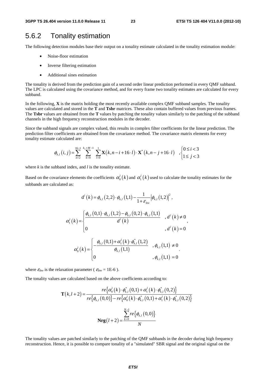### 5.6.2 Tonality estimation

The following detection modules base their output on a tonality estimate calculated in the tonality estimation module:

- Noise-floor estimation
- Inverse filtering estimation
- Additional sines estimation

The tonality is derived from the prediction gain of a second order linear prediction performed in every QMF subband. The LPC is calculated using the covariance method, and for every frame two tonality estimates are calculated for every subband.

In the following, **X** is the matrix holding the most recently available complex QMF subband samples. The tonality values are calculated and stored in the **T** and **Tsbr** matrices. These also contain buffered values from previous frames. The **Tsbr** values are obtained from the **T** values by patching the tonality values similarly to the patching of the subband channels in the high frequency reconstruction modules in the decoder.

Since the subband signals are complex valued, this results in complex filter coefficients for the linear prediction. The prediction filter coefficients are obtained from the covariance method. The covariance matrix elements for every tonality estimate calculated are:

$$
\phi_{k,l}(i,j) = \sum_{n=2}^{16-1} \sum_{k=0}^{k_x + M - 1} \sum_{l=0}^{1} \mathbf{X}(k, n-i+16 \cdot l) \cdot \mathbf{X}^*(k, n-j+16 \cdot l) ,\begin{cases} 0 \le i < 3\\ 1 \le j < 3 \end{cases}
$$

where *k* is the subband index, and *l* is the tonality estimate.

Based on the covariance elements the coefficients  $\alpha_0^l(k)$  and  $\alpha_1^l(k)$  used to calculate the tonality estimates for the subbands are calculated as:

$$
d^{l}(k) = \phi_{k,l}(2,2) \cdot \phi_{k,l}(1,1) - \frac{1}{1+\varepsilon_{hw}} |\phi_{k,l}(1,2)|^{2},
$$
  

$$
\alpha_{1}^{l}(k) = \begin{cases} \frac{\phi_{k,l}(0,1) \cdot \phi_{k,l}(1,2) - \phi_{k,l}(0,2) \cdot \phi_{k,l}(1,1)}{d^{l}(k)} & , d^{l}(k) \neq 0, \\ 0 & , d^{l}(k) = 0 \end{cases},
$$
  

$$
\alpha_{0}^{l}(k) = \begin{cases} -\frac{\phi_{k,l}(0,1) + \alpha_{1}^{l}(k) \cdot \phi_{k,l}^{*}(1,2)}{\phi_{k,l}(1,1)} & , \phi_{k,l}(1,1) \neq 0, \\ 0 & , \phi_{k,l}(1,1) = 0 \end{cases}
$$

where  $\varepsilon_{Inv}$  is the relaxation parameter ( $\varepsilon_{Inv} = 1E-6$ ).

The tonality values are calculated based on the above coefficients according to:

$$
\mathbf{T}(k, l+2) = \frac{re\{\alpha_0^l(k)\cdot\phi_{k,l}^*(0,1) + \alpha_1^l(k)\cdot\phi_{k,l}^*(0,2)\}}{re\{\phi_{k,l}(0,0)\} - re\{\alpha_0^l(k)\cdot\phi_{k,l}^*(0,1) + \alpha_1^l(k)\cdot\phi_{k,l}^*(0,2)\}}
$$

$$
\mathbf{Nrg}(l+2) = \frac{\sum_{k=0}^{N-1} re\{\phi_{k,l}(0,0)\}}{N}
$$

The tonality values are patched similarly to the patching of the QMF subbands in the decoder during high frequency reconstruction. Hence, it is possible to compare tonality of a "simulated" SBR signal and the original signal on the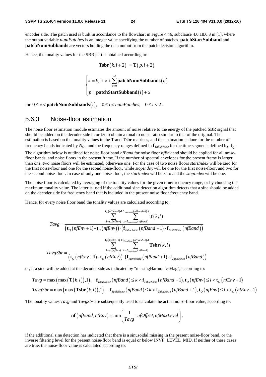encoder side. The patch used is built in accordance to the flowchart in Figure 4.46, subclause 4.6.18.6.3 in [1], where the output variable *numPatches* is an integer value specifying the number of patches. **patchStartSubband** and **patchNumSubbands** are vectors holding the data output from the patch decision algorithm.

Hence, the tonality values for the SBR part is obtained according to:

 $\overline{\phantom{a}}$  $\overline{\phantom{a}}$ 

$$
\text{Tsbr}(k, l+2) = \text{T}(p, l+2)
$$

$$
\begin{cases} k = k_x + x + \sum_{q=0}^{i-1} \text{patchNumSubbands}(q) \end{cases}
$$

 $p =$ **patchStartSubband** $(i) + x$ 

**patchStartSubband**

 $(i)$ 

 $\left( p = \textbf{patchStartSubband}(i) + \right)$ for  $0 \le x <$  **patchNumSubbands** $(i)$ ,  $0 \le i <$  *numPatches*,  $0 \le l < 2$ .

#### 5.6.3 Noise-floor estimation

The noise floor estimation module estimates the amount of noise relative to the energy of the patched SBR signal that should be added on the decoder side in order to obtain a tonal to noise ratio similar to that of the original. The estimation is based on the tonality values in the **T** and **Tsbr** matrices, and the estimation is done for the number of

frequency bands indicated by  $N_Q$ , and the frequency ranges defined in  $\mathbf{f}_{TableNoise}$  for the time segments defined by  $\mathbf{t}_o$ .

The algorithm below is outlined for noise floor band *nfBand* for noise floor *nfEnv* and should be applied for all noisefloor bands, and noise floors in the present frame. If the number of spectral envelopes for the present frame is larger than one, two noise floors will be estimated, otherwise one. For the case of two noise floors *startIndex* will be zero for the first noise-floor and one for the second noise-floor, while *stopIndex* will be one for the first noise-floor, and two for the second noise-floor. In case of only one noise-floor, the *startIndex* will be zero and the *stopIndex* will be one.

The noise floor is calculated by averaging of the tonality values for the given time/frequency range, or by choosing the maximum tonality value. The latter is used if the additional sine detection algorithm detects that a sine should be added on the decoder side for frequency band that is included in the present noise floor frequency band.

Hence, for every noise floor band the tonality values are calculated according to:

$$
Tavg = \frac{\sum_{l=\tau_Q(nfEnv)+1}^{t_Q(nfEnv+1)-1} \sum_{f_{\text{tableNoise}}(nfBand+1)-1}^{t_Q(nfEnv)} \sum_{l=\tau_Q(nfEnv)}^{t_P(mEnv)} \mathbf{T}(k,l)}{\left(\mathbf{t}_Q(nfEnv+1) - \mathbf{t}_Q(nfEnv)\right) \cdot \left(\mathbf{f}_{\text{TableNoise}}(nf Band+1) - \mathbf{f}_{\text{TableNoise}}(nf Band)\right)}\right]^{t_Q(nfEnv+1)-1} \cdot \sum_{l=\tau_Q(nfEnv)}^{t_Q(nfEnv+1)-1} \sum_{l=\tau_Q(nfEnv)}^{t_Q(nfEnv)} \sum_{l=\tau_Q(nf Band+1)-1}^{t_P(mEnv)} \mathbf{Tsbr}(k,l)
$$

or, if a sine will be added at the decoder side as indicated by "missingHarmonicsFlag", according to:

$$
Tavg = \max\left(\max\left(\mathbf{T}(k,l)\right),1\right), \quad \mathbf{f}_{\text{TableNoise}}\left(\text{nfBand}\right) \le k < \mathbf{f}_{\text{TableNoise}}\left(\text{nf Band}+1\right), \mathbf{t}_Q\left(\text{nfEnv}\right) \le l < \mathbf{t}_Q\left(\text{nfEnv}+1\right)
$$
\n
$$
TavgSbr = \max\left(\max\left(\mathbf{Tsbr}(k,l)\right),1\right), \quad \mathbf{f}_{\text{TableNoise}}\left(\text{nfBand}\right) \le k < \mathbf{f}_{\text{TableNoise}}\left(\text{nf Band}+1\right), \mathbf{t}_Q\left(\text{nfEnv}\right) \le l < \mathbf{t}_Q\left(\text{nfEnv}+1\right)
$$

The tonality values *Tavg* and *TavgSbr* are subsequently used to calculate the actual noise-floor value, according to:

$$
\mathbf{nf}\left(n\text{fBand}, n\text{fEnv}\right) = \min\left(\frac{1}{Tavg} \cdot n\text{fOffset}, n\text{fMaxLevel}\right),\,
$$

if the additional sine detection has indicated that there is a sinusoidal missing in the present noise-floor band, or the inverse filtering level for the present noise-floor band is equal or below INVF\_LEVEL\_MID. If neither of these cases are true, the noise-floor value is calculated according to: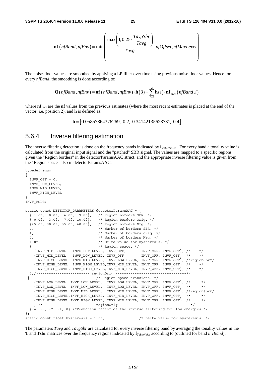$$
\mathbf{nf}\left(n\text{fBand}, n\text{fEnv}\right) = \min\left(\frac{\max\left(1, 0.25 \cdot \frac{\text{TavgSbr}}{\text{Tavg}}\right)}{\text{Tavg}} \cdot n\text{fOffset}, n\text{fMaxLevel}\right)
$$

The noise-floor values are smoothed by applying a LP filter over time using previous noise floor values. Hence for every *nfBand*, the smoothing is done according to:

$$
\mathbf{Q}\big(\text{nfBand}, \text{nfEnv}\big) = \mathbf{nf}\big(\text{nfBand}, \text{nfEnv}\big) \cdot \mathbf{h}\big(3\big) + \sum_{i=0}^{2} \mathbf{h}\big(i\big) \cdot \mathbf{nf}_{\text{prev}}\big(\text{nfBand}, i\big)
$$

where **nf**<sub>*Prev*</sub> are the **nf** values from the previous estimates (where the most recent estimates is placed at the end of the vector, i.e. position 2), and **h** is defined as:

**h** =  $[0.05857864376269, 0.2, 0.34142135623731, 0.4]$ 

#### 5.6.4 Inverse filtering estimation

The inverse filtering detection is done on the frequency bands indicated by **f***TableNoise* . For every band a tonality value is calculated from the original input signal and the "patched" SBR signal. The values are mapped to a specific regions given the "Region borders" in the detectorParamsAAC struct, and the appropriate inverse filtering value is given from the "Region space" also in detectorParamsAAC.

```
typedef enum 
{ 
  INVF OFF = 0, INVF_LOW_LEVEL, 
   INVF_MID_LEVEL, 
   INVF_HIGH_LEVEL 
} 
INVF_MODE; 
static const DETECTOR PARAMETERS detectorParamsAAC = {
   { 1.0f, 10.0f, 14.0f, 19.0f}, /* Region borders SBR. */ 
   { 0.0f, 3.0f, 7.0f, 10.0f}, /* Region borders Orig. */ 
   {25.0f, 30.0f, 35.0f, 40.0f}, /* Region borders Nrg. */ 
   4, /* Number of borders SBR. */ 
   4, /* Number of borders orig. */ 
   4, /* Number of borders Nrg. */ 
   1.0f, /* Delta value for hysteresis. */ 
  \begin{array}{lcl} \{ & \hspace{1.5mm} \text{/* Region space. */} \\ \{INVF\_MID\_LEVEL, & \text{INVF\_LOW\_LEVEL, } \text{INVF\_OFF, } & \text{INVF\_OFF, } \text{INVF\_OFF, } \end{array}, \begin{array}{lcl} \text{/*} & \hspace{1.5mm} \text{+} \\ \text{/*} & \hspace{1.5mm} \text{+} \\ \{INVF\_MID\_LEVEL, & \text{INVF\_LOW\_LEVEL, } \text{INVF\_OFF, } & \text{INVF\_OFF, } \text{INVF\_OFF, } \end{array}, \begin{array}{lcl} \text{/*} & \hspace{1.5mm} \text{ {INVF_MID_LEVEL, INVF_LOW_LEVEL, INVF_OFF, INVF_OFF, INVF_OFF}, /* | */ 
      {INVF_MID_LEVEL, INVF_LOW_LEVEL, INVF_OFF, INVF_OFF, INVF_OFF}, /* | */ 
      {INVF_HIGH_LEVEL, INVF_MID_LEVEL, INVF_LOW_LEVEL, INVF_OFF, INVF_OFF}, /*regionSbr*/ 
     {1}INVF_HIGH_LEVEL, INVF_HIGH_LEVEL, INVF_MID_LEVEL, INVF_OFF, INVF_OFF}, /* | */
      {INVF_HIGH_LEVEL, INVF_HIGH_LEVEL,INVF_MID_LEVEL, INVF_OFF, INVF_OFF}, /* | */ 
   },/*------------------------ regionOrig ---------------------------------*/ 
                                        /* Region space transient. */ {INVF_LOW_LEVEL, INVF_LOW_LEVEL, INVF_LOW_LEVEL, INVF_OFF, INVF_OFF}, /* | */ 
\{INVF\ LOW\ LEVEL,\ INVF\ LOW\ LEVEL, \ INVF\ LOW\ LEVEL, \ INVF\ OEF,\ INVF\ OFF\}, \t' * | * \t' {INVF_HIGH_LEVEL,INVF_MID_LEVEL, INVF_MID_LEVEL, INVF_OFF, INVF_OFF}, /*regionSbr*/ 
\{INVF\ HIGH\ LEVEL, INVF\ HIGH\ LEVEL,\ INVF\ MID\ LEVEL,\ INVF\ OFF,\ INVF\ OFF\}, \t /* | */
     \{INVF\_HIGH\_LEVEL, INVF\_HIGH\_LEVEL, INVF\_MID\_LEVEL, INVF\_OFF, INVF_CFF\} , /* | */
      },/*------------------------ regionOrig ---------------------------------*/ 
  {-4, -3, -2, -1, 0} /*Reduction factor of the inverse filtering for low energies.*/
}; 
static const float hysteresis = 1.0f; \frac{1}{2} \frac{1}{2} \frac{1}{2} belta value for hysteresis. */
```
The parameters *Tavg* and *TavgSbr* are calculated for every inverse filtering band by averaging the tonality values in the **T** and **Tsbr** matrices over the frequency regions indicated by **f***TableNoise* according to (outlined for band *invBand*):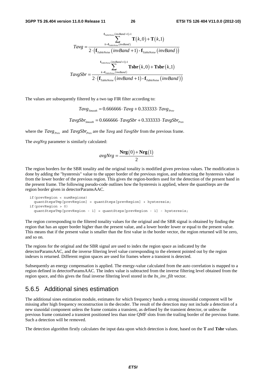$$
Tavg = \frac{\sum_{k=\mathbf{f}_{TableNoise}(invBand+1)-1}^{\mathbf{f}_{TableNoise}(inv Band)+1} \mathbf{T}(k,0) + \mathbf{T}(k,1)}{2 \cdot (\mathbf{f}_{TableNoise}(invBand+1) - \mathbf{f}_{TableNoise}(invBand)))}
$$
\n
$$
TavgSbr = \frac{\sum_{k=\mathbf{f}_{TableNoise}(inv Band+1)-1}^{\mathbf{f}_{TableNoise}(inv Band+1)-1} \mathbf{Tsbr}(k,0) + \mathbf{Tsbr}(k,1)}{2 \cdot (\mathbf{f}_{TableNoise}(invBand+1) - \mathbf{f}_{TableNoise}(invBand))}
$$

The values are subsequently filtered by a two tap FIR filter according to:

 $Tavg_{\text{Smodel}} = 0.666666 \cdot Tay + 0.333333 \cdot Tay + 0.333333 \cdot Tay + 0.333333 \cdot Tay + 0.333333 \cdot Tay + 0.333333 \cdot Tay + 0.333333 \cdot Tay + 0.333333 \cdot Tay + 0.333333 \cdot Tay + 0.333333 \cdot Tay + 0.333333 \cdot Tay + 0.333333 \cdot Tay + 0.333333 \cdot Tay + 0.333333 \cdot T = 0.66666666 \cdot x + 0.333333 \cdot T =$ 

 $TavgSbr_{s_{model}} = 0.666666 \cdot TavgSbr + 0.333333 \cdot TavgSbr_{p_{rev}}$ 

where the  $Tavg_{Prev}$  and  $TavgSbr_{Prev}$  are the  $Tavg$  and  $TavgSbr$  from the previous frame.

The *avgNrg* parameter is similarly calculated:

$$
avgNrg = \frac{\mathbf{Nrg}(0) + \mathbf{Nrg}(1)}{2}
$$

The region borders for the SBR tonality and the original tonality is modified given previous values. The modification is done by adding the "hysteresis" value to the upper border of the previous region, and subtracting the hysteresis value from the lower border of the previous region. This gives the region-borders used for the detection of the present band in the present frame. The following pseudo-code outlines how the hysteresis is applied, where the quantSteps are the region border given in detectorParamsAAC.

```
 if(prevRegion < numRegions) 
  quantStepsTmp[prevRegion] = quantSteps[prevRegion] + hysteresis; 
 if(prevRegion > 0) 
  quantStepsTmp[prevRegion - 1] = quantSteps[prevRegion - 1] - hysteresis;
```
The region corresponding to the filtered tonality values for the original and the SBR signal is obtained by finding the region that has an upper border higher than the present value, and a lower border lower or equal to the present value. This means that if the present value is smaller than the first value in the border vector, the region returned will be zero, and so on.

The regions for the original and the SBR signal are used to index the region space as indicated by the detectorParamsAAC, and the inverse filtering level value corresponding to the element pointed out by the region indexes is returned. Different region spaces are used for frames where a transient is detected.

Subsequently an energy compensation is applied. The energy-value calculated from the auto correlation is mapped to a region defined in detectorParamsAAC. The index value is subtracted from the inverse filtering level obtained from the region space, and this gives the final inverse filtering level stored in the *bs\_inv\_filt* vector.

#### 5.6.5 Additional sines estimation

The additional sines estimation module, estimates for which frequency bands a strong sinusoidal component will be missing after high frequency reconstruction in the decoder. The result of the detection may not include a detection of a new siusoidal component unless the frame contains a transient, as defined by the transient detector, or unless the previous frame contained a transient positioned less than nine QMF slots from the trailing border of the previous frame. Such a detection will be removed.

The detection algorithm firstly calculates the input data upon which detection is done, based on the **T** and **Tsbr** values.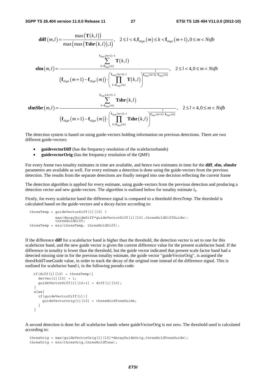$$
\begin{aligned}\n\text{diff}(m,l) &= \frac{\max\left(\mathbf{T}(k,l)\right)}{\max\left(\max\left(\mathbf{T}\mathbf{s}\mathbf{br}(k,l)\right),1\right)}, \quad 2 \leq l < 4, \mathbf{f}_{High}(m) \leq k < \mathbf{f}_{High}(m+1), 0 \leq m < Nsfb \\
&\quad \sum_{k=f_{High}(m)}^{f_{High}(m+1)-1} \mathbf{T}(k,l) \\
&\quad \text{if } \mathbf{f}_{High}(m+1) - \mathbf{f}_{High}(m)\text{ } \bigg) \cdot \left(\prod_{k=f_{High}(m)}^{f_{Map(m+1)-1} \mathbf{T}(k,l)} \frac{1}{\prod_{k=f_{High}(m)}^{f_{Map(m+1)-1} \mathbf{T}(k,l)}}\right), \quad 2 \leq l < 4, 0 \leq m < Nsfb \\
&\quad \left(\mathbf{f}_{High}(m+1) - \mathbf{f}_{High}(m)\right) \cdot \left(\prod_{k=f_{High}(m)}^{f_{Map(m+1)-1} \mathbf{T}(k,l)} \mathbf{T}\mathbf{s}\mathbf{br}(k,l)\right) \\
&\quad \text{if } \mathbf{f}_{High}(m+1) - \mathbf{f}_{High}(m)\text{ } \bigg) \cdot \left(\prod_{k=f_{High}(m+1)-1}^{f_{Map(m+1)-1} \mathbf{T}\mathbf{s}\mathbf{br}(k,l)} \frac{1}{\prod_{k=f_{high}(m)}^{f_{Map(m+1)-1} \mathbf{T}\mathbf{s}\mathbf{br}(k,l)}\right), \quad 2 \leq l < 4, 0 \leq m < Nsfb\n\end{aligned}
$$

The detection system is based on using guide-vectors holding information on previous detections. There are two different guide-vectors:

- **guidevectorDiff** (has the frequency resolution of the scalefactorbands)
- **guidevectorOrig** (has the frequency resolution of the OMF)

For every frame two tonality estimates in time are available, and hence two estimates in time for the **diff**, **sfm**, **sfmsbr** parameters are available as well. For every estimate a detection is done using the guide-vectors from the previous detection. The results from the separate detections are finally merged into one decision reflecting the current frame

The detection algorithm is applied for every estimate, using guide-vectors from the previous detection and producing a detection vector and new guide-vectors. The algorithm is outlined below for tonality estimate  $l_0$ .

Firstly, for every scalefactor band the difference signal is compared to a threshold *thresTemp.* The threshold is calculated based on the guide-vectors and a decay-factor according to:

```
thresTemp = guideVectorDiff[i][10] ?
 max(decayGuideDiff*guideVectorDiff[i][l0],thresHoldDiffGuide): 
 thresHoldDiff; 
  thresTemp = min(thresTemp, thresHoldDiff);
```
If the difference **diff** for a scalefactor band is higher than the threshold, the detection vector is set to one for this scalefactor band, and the new guide vector is given the current difference value for the present scalefactor band. If the difference in tonality is lower than the threshold, but the guide vector indicated that present scale factor band had a detected missing sine in for the previous tonality estimate, the guide vector "guideVectorOrig", is assigned the thresHoldToneGuide value, in order to track the decay of the original tone instead of the difference signal. This is outlined for scalefactor band i, in the following pseudo-code:

```
if(diff[i][10] > thresTemp)detVec[i][10] = 1;quideVectorDiff[i][l0+1] = diff[i][l0];
 } 
 else{ 
   if(guideVectorDiff[i]){ 
     guideVectorOrig[i][l0] = thresHoldToneGuide; 
   } 
 }
```
A second detection is done for all scalefactor bands where guideVectorOrig is not zero. The threshold used is calculated according to:

```
thresOrig = max(quideVectorOrig[i][10]*decayGuideOrig,thresHoldToneGuide);
thresOrig = min(thresOrig, thresHoldTone);
```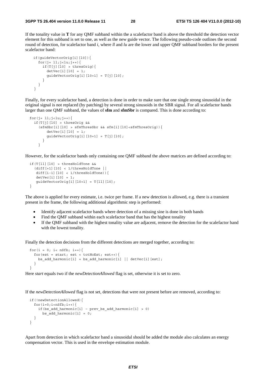If the tonality value in **T** for any QMF subband within the a scalefactor band is above the threshold the detection vector element for this subband is set to one, as well as the new guide vector. The following pseudo-code outlines the second round of detection, for scalefactor band *i*, where *ll* and *lu* are the lower and upper QMF subband borders for the present scalefactor band:

```
 if(guideVectorOrig[i][l0]){ 
      for(j= 11; j - 1u; j + + (if(T[j][10] > thresOrig){
          detVec[i][10] = 1;guideVectorOrig[i][l0+1] = T[j][l0];
 } 
       } 
    }
```
Finally, for every scalefactor band, a detection is done in order to make sure that one single strong sinusoidal in the original signal is not replaced (by patching) by several strong sinusoids in the SBR signal. For all scalefactor bands larger than one QMF subband, the values of **sfm** and **sfmSbr** is compared. This is done according to:

```
for(j= 11; j < l u; j++){
    if(T[j][l0] > thresOrig && 
     (sfmsbr[i][10] > sfmThressbr \& sfm[i][10]<sffmThressOrig)detVec[i][10] = 1;guideVectorOrig[i][10+1] = T[j][10]; } 
      }
```
However, for the scalefactor bands only containing one QMF subband the above matrices are defined according to:

```
 if(T[ll][l0] > thresHoldTone && 
   (diff[+1][l0] < 1/thresHoldTone || 
   diff[i-1][10] < 1/thresHoldTone)){
   detVec[i][10] = 1;guideVectorOrig[i][10+1] = T[11][10]; }
```
The above is applied for every estimate, i.e. twice per frame. If a new detection is allowed, e.g. there is a transient present in the frame, the following additional algorithmic step is performed:

- Identify adjacent scalefactor bands where detection of a missing sine is done in both bands
- Find the QMF subband within each scalefactor band that has the highest tonality
- If the QMF subband with the highest tonality value are adjacent, remove the detection for the scalefactor band with the lowest tonality.

Finally the detection decisions from the different detections are merged together, according to:

```
for(i = 0; i< nSfb; i_{++}){
   for(est = start; est < totNoEst; est++) {
     bs add harmonic[i] = bs add harmonic[i] || detVec[i][est];
 } 
  }
```
Here *start* equals two if the *newDetectionAllowed* flag is set, otherwise it is set to zero.

If the *newDetectionAllowed* flag is not set, detections that were not present before are removed, according to:

```
 if(!newDetectionAllowed){ 
  for(i=0;i<nSfb;i++){
    if(bs add harmonic[i] – prev bs add harmonic[i] > 0)
      bs add harmonic[i] = 0; } 
 }
```
Apart from detection in which scalefactor band a sinusoidal should be added the module also calculates an energy compensation vector. This is used in the envelope estimation module.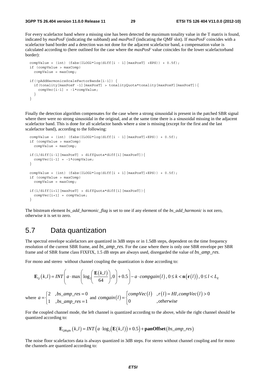For every scalefactor band where a missing sine has been detected the maximum tonality value in the T matrix is found, indicated by *maxPosF* (indicating the subband) and *maxPosT* (indicating the QMF slot). If *maxPosF* coincides with a scalefactor band border and a detection was not done for the adjacent scalefactor band, a compensation value is calculated according to (here outlined for the case where the *maxPosF* value coincides for the lower scalefactorband border):

```
compValue = (int) (fabs(ILOG2*log(diff[i - 1][maxPos] + EPS)) + 0.5f);
 if (compValue > maxComp) 
   compValue = maxComp; 
 if(!pAddHarmonicsScaleFactorBands[i-1]) { 
   if(tonality[maxPosF -1][maxPosT] > tonalityQuota*tonality[maxPosF][maxPosT]){ 
    compVec[i-1] = -1*compValue;
   } 
 }
```
Finally the detection algorithm compensates for the case where a strong sinusoidal is present in the patched SBR signal where there were no strong sinusoidal in the original, and at the same time there is a sinusoidal missing in the adjacent scalefactor band. This is done for all scalefactor bands where a sine is missing (except for the first and the last scalefactor band), according to the following:

```
compValue = (int) (fabs(ILOG2*log(diff[i - 1][maxPosT]+EPS)) + 0.5f);
  if (compValue > maxComp) 
    compValue = maxComp; 
  if(1/diff[i-1][maxPosT] > diffQuota*diff[i][maxPosT]){ 
   compVec[i-1] = -1*compValue;
  } 
 compValue = (int) (fabs(ILOG2*log(diff[i + 1][maxPosT]+EPS)) + 0.5f);
  if (compValue > maxComp) 
    compValue = maxComp; 
  if(1/diff[i+1][maxPosT] > diffQuota*diff[i][maxPosT]){ 
   compVec[i+1] = compValue; }
```
The bitstream element *bs\_add\_harmonic\_flag* is set to one if any element of the *bs\_add\_harmonic* is not zero, otherwise it is set to zero.

# 5.7 Data quantization

The spectral envelope scalefactors are quantized in 3dB steps or in 1.5dB steps, dependent on the time frequency resolution of the current SBR frame, and *bs\_amp\_res*. For the case where there is only one SBR envelope per SBR frame and of SBR frame class FIXFIX, 1.5 dB steps are always used, disregarded the value of *bs\_amp\_res*.

For mono and stereo without channel coupling the quantization is done according to:

$$
\mathbf{E}_{Q}(k,l) = INT \left( a \cdot \max \left( \log_{2} \left( \frac{\mathbf{E}(k,l)}{64} \right), 0 \right) + 0.5 \right) - a \cdot \text{compgain}(l), 0 \le k < \mathbf{n}(\mathbf{r}(l)), 0 \le l < L_{E}
$$
\n
$$
\text{where } a = \begin{cases} 2 & \text{, } bs\_amp\_res = 0 \\ 1 & \text{, } bs\_amp\_res = 1 \end{cases} \text{ and } \text{congain}(l) = \begin{cases} \text{compVec}(l) & \text{, } r(l) = HI, \text{compVec}(l) > 0 \\ 0 & \text{, } \text{otherwise} \end{cases}
$$

For the coupled channel mode, the left channel is quantized according to the above, while the right channel should be quantized according to:

 $\overline{\phantom{a}}$ 

$$
\mathbf{E}_{\textit{QRight}}\left(k,l\right) = \textit{INT}\left(a \cdot \log_2\left(\mathbf{E}\left(k,l\right)\right) + 0.5\right) + \textbf{panOffset}\left(b \textit{s\_amp\_res}\right)
$$

The noise floor scalefactors data is always quantized in 3dB steps. For stereo without channel coupling and for mono the channels are quantized according to: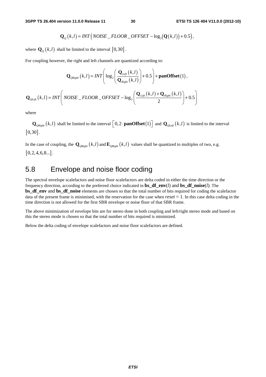$$
\mathbf{Q}_{Q}(k,l)=INT\big(NOISE\_FLOOR\_OFFSET-\log_2(\mathbf{Q}(k,l))+0.5\big),
$$

where  $\mathbf{Q}_{\varrho}(k,l)$  shall be limited to the interval  $[0,30]$ .

For coupling however, the right and left channels are quantized according to:

$$
\mathbf{Q}_{\text{QRight}}(k,l) = INT \Bigg( \log_2 \Bigg( \frac{\mathbf{Q}_{\text{Left}}(k,l)}{\mathbf{Q}_{\text{Right}}(k,l)} \Bigg) + 0.5 \Bigg) + \text{panOffset}(1),
$$
  

$$
\mathbf{Q}_{\text{QLeft}}(k,l) = INT \Bigg( \text{NOISE}_{-} FLOOR_{-}OFFSET - \log_2 \Bigg( \frac{\mathbf{Q}_{\text{Left}}(k,l) + \mathbf{Q}_{\text{Right}}(k,l)}{2} \Bigg) + 0.5 \Bigg)
$$

where

 $\mathbf{Q}_{\text{QRight}}(k,l)$  shall be limited to the interval  $\left[0,2\cdot\text{panOffset}(1)\right]$  and  $\mathbf{Q}_{\text{QLeft}}(k,l)$  is limited to the interval  $[0, 30]$ .

In the case of coupling, the  $\mathbf{Q}_{\text{ORight}}(k,l)$  and  $\mathbf{E}_{\text{ORight}}(k,l)$  values shall be quantized to multiples of two, e.g.  $[0, 2, 4, 6, 8...]$ .

# 5.8 Envelope and noise floor coding

The spectral envelope scalefactors and noise floor scalefactors are delta coded in either the time direction or the frequency direction, according to the preferred choice indicated in **bs\_df\_env**(*l*) and **bs\_df\_noise**(*l*). The **bs\_df\_env** and **bs\_df\_noise** elements are chosen so that the total number of bits required for coding the scalefactor data of the present frame is minimised, with the reservation for the case when *reset* = 1. In this case delta coding in the time direction is not allowed for the first SBR envelope or noise floor of that SBR frame.

The above minimization of envelope bits are for stereo done in both coupling and left/right stereo mode and based on this the stereo mode is chosen so that the total number of bits required is minimized.

Below the delta coding of envelope scalefactors and noise floor scalefactors are defined.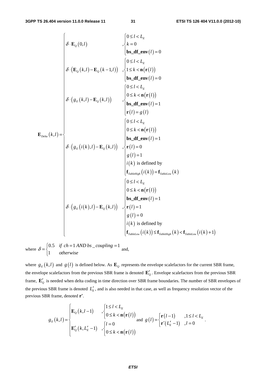$$
\delta \cdot \mathbf{E}_{Q}(0,l) \qquad \qquad \begin{cases}\n0 \le l < L_{E} \\
k = 0 \\
\mathbf{b} \cdot \mathbf{d} \cdot \mathbf{r} \cdot \mathbf{d}(l) = 0 \\
\delta \cdot (\mathbf{E}_{Q}(k,l) - \mathbf{E}_{Q}(k-1,l))\n\end{cases}, \begin{cases}\n0 \le l < L_{E} \\
1 \le k < \mathbf{n}(\mathbf{r}(l)) \\
\mathbf{b} \le \mathbf{d} \mathbf{r} \cdot \mathbf{e} \cdot \mathbf{n}(\mathbf{r}(l)) = 0 \\
0 \le l < L_{E} \\
0 \le k < \mathbf{n}(\mathbf{r}(l))\n\end{cases}
$$
\n
$$
\delta \cdot (g_{E}(k,l) - \mathbf{E}_{Q}(k,l)) \qquad \begin{cases}\n0 \le l < L_{E} \\
0 \le k < \mathbf{n}(\mathbf{r}(l)) \\
\mathbf{b} \le \mathbf{d} \mathbf{r} \cdot \mathbf{e} \cdot \mathbf{n}(\mathbf{r}(l) = 1 \\
\mathbf{r}(l) = g(l)\n\end{cases}
$$
\n
$$
\delta \cdot (g_{E}(i(k),l) - \mathbf{E}_{Q}(k,l)) \qquad \begin{cases}\n0 \le l < L_{E} \\
0 \le k < \mathbf{n}(\mathbf{r}(l)) \\
0 \le l < L_{E} \\
\mathbf{r}_{Lib \text{ left}}(l) = 1 \\
i(k) \text{ is defined by} \\
\mathbf{f}_{Tab \text{ left}}(i(k)) = \mathbf{f}_{Tabb \text{ right}}(k) \\
0 \le l < L_{E} \\
0 \le k < \mathbf{n}(\mathbf{r}(l))\n\end{cases}
$$
\n
$$
\delta \cdot (g_{E}(i(k),l) - \mathbf{E}_{Q}(k,l)) \qquad \begin{cases}\n0 \le l < L_{E} \\
0 \le k < \mathbf{n}(\mathbf{r}(l)) \\
0 \le l < L_{E} \\
0 \le k < \mathbf{n}(\mathbf{r}(l))\n\end{cases}
$$
\n
$$
\delta \cdot (g_{E}(i(k),l) - \mathbf{E}_{Q}(k,l)) \qquad \begin{cases}\n0 \le l < L_{E} \\
0 \le k < \mathbf{n}(\mathbf{r
$$

where  $\delta = \begin{cases} 0.5 & \text{if } ch = 1 \text{ AND } bs \text{ \_\_coupling} = 1 \end{cases}$ 1 *if ch* = 1 AND bs \_coupling  $\delta = \begin{cases} 0.5 & \text{if } ch = 1 \text{ AND } bs \_\text{coupling} = 1 \\ 1 & \text{otherwise} \end{cases}$  $\overline{a}$ and,

where  $g_E(k, l)$  and  $g(l)$  is defined below. As  $\mathbf{E}_Q$  represents the envelope scalefactors for the current SBR frame, the envelope scalefactors from the previous SBR frame is denoted  $\mathbf{E}'_Q$ . Envelope scalefactors from the previous SBR frame,  $\mathbf{E}'_0$  is needed when delta coding in time direction over SBR frame boundaries. The number of SBR envelopes of the previous SBR frame is denoted  $L'_{E}$ , and is also needed in that case, as well as frequency resolution vector of the previous SBR frame, denoted **r'**.

$$
g_E(k,l) = \begin{cases} \mathbf{E}_Q(k,l-1) & , \begin{cases} 1 \leq l < L_E \\ 0 \leq k < \mathbf{n}(\mathbf{r}(l)) \end{cases} \\ \mathbf{E}_Q'(k,L_E'-1) & , \begin{cases} l=0 \\ 0 \leq k < \mathbf{n}(\mathbf{r}(l)) \end{cases} \text{ and } g(l) = \begin{cases} \mathbf{r}(l-1) & , 1 \leq l < L_E \\ \mathbf{r}'(L_E'-1) & , l=0 \end{cases}.
$$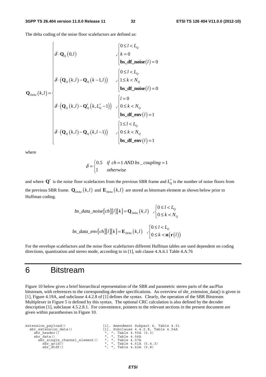The delta coding of the noise floor scalefactors are defined as:

$$
\mathbf{Q}_{\text{Delta}}(k,l) = \begin{cases}\n\delta \cdot \mathbf{Q}_{\mathcal{Q}}(0,l) & , \begin{cases}\n0 \leq l < L_{\mathcal{Q}} \\
k = 0 \\
\mathbf{bs\_df\_noise}(l) = 0\n\end{cases} \\
\delta \cdot (\mathbf{Q}_{\mathcal{Q}}(k,l) - \mathbf{Q}_{\mathcal{Q}}(k-1,l)) & , \begin{cases}\n0 \leq l < L_{\mathcal{Q}} \\
1 \leq k < N_{\mathcal{Q}} \\
\mathbf{bs\_df\_noise}(l) = 0\n\end{cases} \\
\delta \cdot (\mathbf{Q}_{\mathcal{Q}}(k,l) - \mathbf{Q}_{\mathcal{Q}}'(k, L_{\mathcal{Q}}' - 1)) & , \begin{cases}\nl = 0 \\
0 \leq k < N_{\mathcal{Q}} \\
\mathbf{bs\_df\_env}(l) = 1\n\end{cases} \\
\delta \cdot (\mathbf{Q}_{\mathcal{Q}}(k,l) - \mathbf{Q}_{\mathcal{Q}}(k,l-1)) & , \begin{cases}\n1 \leq l < L_{\mathcal{Q}} \\
0 \leq k < N_{\mathcal{Q}} \\
\mathbf{bs\_df\_env}(l) = 1\n\end{cases}\n\end{cases}
$$

 $\zeta$ 

 $\overline{a}$ 

where

$$
\delta = \begin{cases} 0.5 & \text{if } ch = 1 \text{ AND } bs\_coupling = 1\\ 1 & \text{otherwise} \end{cases}
$$

and where  $Q'$  is the noise floor scalefactors from the previous SBR frame and  $L'_0$  is the number of noise floors from the previous SBR frame.  $\mathbf{Q}_{Delta}(k,l)$  and  $\mathbf{E}_{Delta}(k,l)$  are stored as bitstream element as shown below prior to Huffman coding.

$$
bs\_data\_noise[ch][l][k] = \mathbf{Q}_{Delta}(k, l) , \begin{cases} 0 \le l < L_0 \\ 0 \le k < N_0 \end{cases}
$$
\n
$$
bs\_data\_env[ch][l][k] = \mathbf{E}_{Delta}(k, l) , \begin{cases} 0 \le l < L_E \\ 0 \le k < \mathbf{n}(\mathbf{r}(l)) \end{cases}
$$

For the envelope scalefactors and the noise floor scalefactors different Huffman tables are used dependent on coding directions, quantization and stereo mode, according to in [1], sub clause 4.A.6.1 Table 4.A.76

# 6 Bitstream

Figure 10 below gives a brief hierarchical representation of the SBR and parametric stereo parts of the aacPlus bitstream, with references to the corresponding decoder specifications. An overview of sbr\_extension\_data() is given in [1], Figure 4.19A, and subclause 4.4.2.8 of [1] defines the syntax. Clearly, the operation of the SBR Bitstream Multiplexer in Figure 5 is defined by this syntax. The optional CRC calculation is also defined by the decoder description [1], subclause 4.5.2.8.1. For convenience, pointers to the relevant sections in the present document are given within paranthesises in Figure 10.

```
extension_payload() [1], Amendment Subpart 4, Table 4.51<br>sbr extension data() [1], Subclause 4.4.2.8, Table 4.54A
          \begin{array}{lll} \text{snr}\text{ extension data()} & \text{r}\text{ inr}\text{ subclause 4.4.2.8, Table 4.54A}\\ \text{sbr}\text{ header()} & \text{m}\text{ m}\text{ inr}\text{ Table 4.55A (5.3)}\\ \text{sbr}\text{ data()} & \text{m}\text{ m}\text{ inr}\text{ Table 4.56A} \end{array}\overline{\text{sbr}}\text{-} \text{header}(\overline{\text{b}}) = \begin{bmatrix} 0 & 0 & 0 \\ 0 & 1 & 0 \\ 0 & 0 & 1 \end{bmatrix}, ", Table 4.55A (5.3)
               sbr_single_channel_element() ", ", Table 4.57A<br>sbr_grid() ", ", Table 4.57A<br>sbr_grid() ", ", Table 4.61A<br>sbr_dtdf() ", ", Table 4.62A
\overline{\text{sbr\_grid}} ) \overline{\text{c}} , ", Table 4.61A (5.4.3)<br>sbr_dtdf() = \overline{\text{c}} , ", Table 4.62A (5.8)
```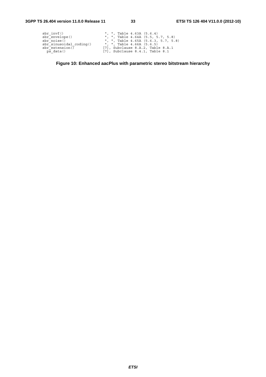| sbr invf()                       | ", ", Table $4.63A$ $(5.6.4)$           |
|----------------------------------|-----------------------------------------|
| sbrenvelope()                    | ", ", Table $4.64A$ $(5.5, 5.7, 5.8)$   |
| sbr noise()                      | ", ", Table $4.65A$ $(5.6.3, 5.7, 5.8)$ |
| $\text{sbr}$ sinusoidal coding() | ", ", Table 4.66A (5.6.5)               |
| $sbr$ extension()                | $[7]$ , Subclause 8.A.2, Table 8.A.1    |
| ps data()                        | $[7]$ , Subclause 8.4.1, Table 8.1      |

**Figure 10: Enhanced aacPlus with parametric stereo bitstream hierarchy**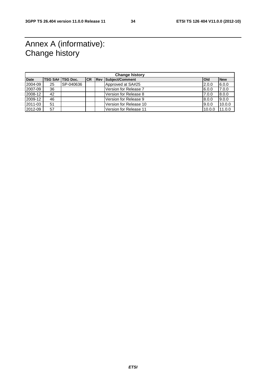# Annex A (informative): Change history

| <b>Change history</b> |    |                  |           |  |                            |            |            |
|-----------------------|----|------------------|-----------|--|----------------------------|------------|------------|
| <b>Date</b>           |    | TSG SA# TSG Doc. | <b>CR</b> |  | <b>Rev Subject/Comment</b> | <b>Old</b> | <b>New</b> |
| 2004-09               | 25 | SP-040636        |           |  | Approved at SA#25          | 2.0.0      | 6.0.0      |
| 2007-09               | 36 |                  |           |  | l Version for Release 7    | 6.0.0      | 7.0.0      |
| 2008-12               | 42 |                  |           |  | Version for Release 8      | 7.0.0      | 8.0.0      |
| 2009-12               | 46 |                  |           |  | Version for Release 9      | 8.0.0      | 9.0.0      |
| 2011-03               | 51 |                  |           |  | Version for Release 10     | 9.0.0      | 10.0.0     |
| 2012-09               | 57 |                  |           |  | Version for Release 11     | 10.0.0     | 11.0.0     |